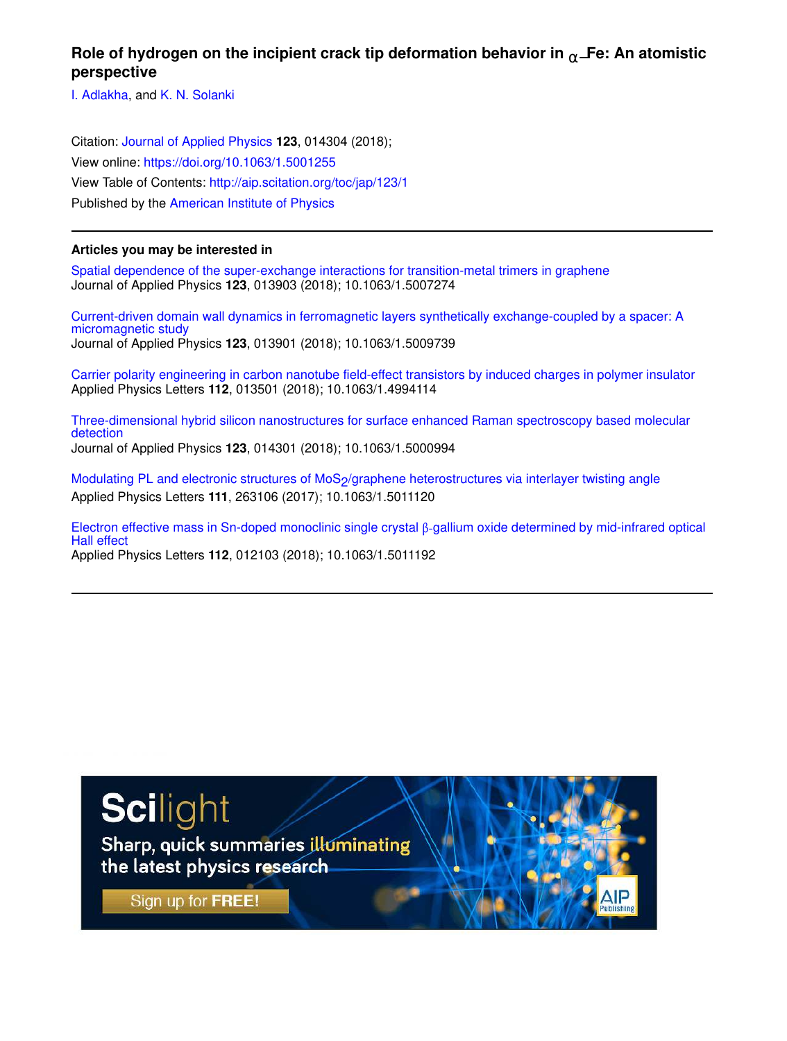## Role of hydrogen on the incipient crack tip deformation behavior in <sub>α−</sub>**Fe: An atomistic perspective**

I. Adlakha, and K. N. Solanki

Citation: Journal of Applied Physics **123**, 014304 (2018); View online: https://doi.org/10.1063/1.5001255 View Table of Contents: http://aip.scitation.org/toc/jap/123/1 Published by the American Institute of Physics

## **Articles you may be interested in**

Spatial dependence of the super-exchange interactions for transition-metal trimers in graphene Journal of Applied Physics **123**, 013903 (2018); 10.1063/1.5007274

Current-driven domain wall dynamics in ferromagnetic layers synthetically exchange-coupled by a spacer: A micromagnetic study Journal of Applied Physics **123**, 013901 (2018); 10.1063/1.5009739

Carrier polarity engineering in carbon nanotube field-effect transistors by induced charges in polymer insulator Applied Physics Letters **112**, 013501 (2018); 10.1063/1.4994114

Three-dimensional hybrid silicon nanostructures for surface enhanced Raman spectroscopy based molecular detection Journal of Applied Physics **123**, 014301 (2018); 10.1063/1.5000994

Modulating PL and electronic structures of MoS<sub>2</sub>/graphene heterostructures via interlayer twisting angle Applied Physics Letters **111**, 263106 (2017); 10.1063/1.5011120

Electron effective mass in Sn-doped monoclinic single crystal β-gallium oxide determined by mid-infrared optical Hall effect Applied Physics Letters **112**, 012103 (2018); 10.1063/1.5011192

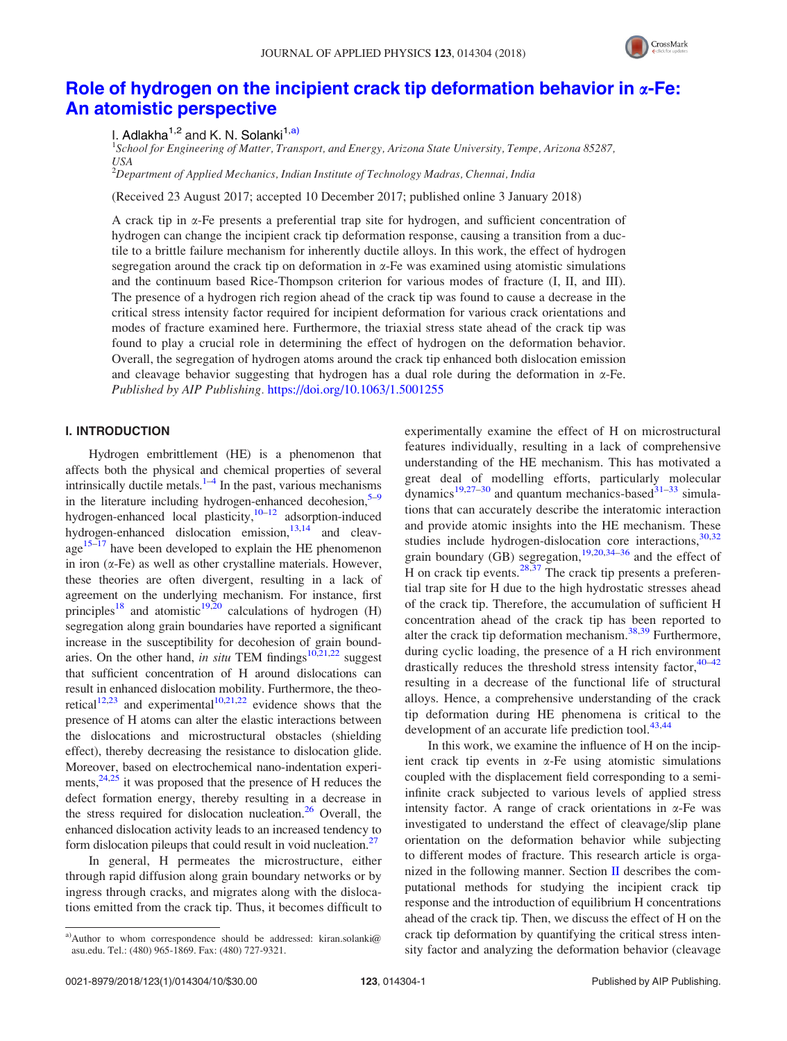

# Role of hydrogen on the incipient crack tip deformation behavior in  $\alpha$ -Fe: An atomistic perspective

I. Adlakha<sup>1,2</sup> and K. N. Solanki<sup>1,a)</sup>

1 *School for Engineering of Matter, Transport, and Energy, Arizona State University, Tempe, Arizona 85287, USA*

<sup>2</sup>*Department of Applied Mechanics, Indian Institute of Technology Madras, Chennai, India*

(Received 23 August 2017; accepted 10 December 2017; published online 3 January 2018)

A crack tip in  $\alpha$ -Fe presents a preferential trap site for hydrogen, and sufficient concentration of hydrogen can change the incipient crack tip deformation response, causing a transition from a ductile to a brittle failure mechanism for inherently ductile alloys. In this work, the effect of hydrogen segregation around the crack tip on deformation in  $\alpha$ -Fe was examined using atomistic simulations and the continuum based Rice-Thompson criterion for various modes of fracture (I, II, and III). The presence of a hydrogen rich region ahead of the crack tip was found to cause a decrease in the critical stress intensity factor required for incipient deformation for various crack orientations and modes of fracture examined here. Furthermore, the triaxial stress state ahead of the crack tip was found to play a crucial role in determining the effect of hydrogen on the deformation behavior. Overall, the segregation of hydrogen atoms around the crack tip enhanced both dislocation emission and cleavage behavior suggesting that hydrogen has a dual role during the deformation in  $\alpha$ -Fe. *Published by AIP Publishing.* https://doi.org/10.1063/1.5001255

## I. INTRODUCTION

Hydrogen embrittlement (HE) is a phenomenon that affects both the physical and chemical properties of several intrinsically ductile metals. $1-4$  In the past, various mechanisms in the literature including hydrogen-enhanced decohesion, $5-9$ hydrogen-enhanced local plasticity, $10^{-12}$  adsorption-induced hydrogen-enhanced dislocation emission, $13,14$  and cleav $age<sup>15-17</sup>$  have been developed to explain the HE phenomenon in iron  $(\alpha$ -Fe) as well as other crystalline materials. However, these theories are often divergent, resulting in a lack of agreement on the underlying mechanism. For instance, first principles<sup>18</sup> and atomistic<sup>19,20</sup> calculations of hydrogen (H) segregation along grain boundaries have reported a significant increase in the susceptibility for decohesion of grain boundaries. On the other hand, *in situ* TEM findings<sup>10,21,22</sup> suggest that sufficient concentration of H around dislocations can result in enhanced dislocation mobility. Furthermore, the theoretical<sup>12,23</sup> and experimental<sup>10,21,22</sup> evidence shows that the presence of H atoms can alter the elastic interactions between the dislocations and microstructural obstacles (shielding effect), thereby decreasing the resistance to dislocation glide. Moreover, based on electrochemical nano-indentation experiments,  $24,25$  it was proposed that the presence of H reduces the defect formation energy, thereby resulting in a decrease in the stress required for dislocation nucleation. $26$  Overall, the enhanced dislocation activity leads to an increased tendency to form dislocation pileups that could result in void nucleation. $27$ 

In general, H permeates the microstructure, either through rapid diffusion along grain boundary networks or by ingress through cracks, and migrates along with the dislocations emitted from the crack tip. Thus, it becomes difficult to experimentally examine the effect of H on microstructural features individually, resulting in a lack of comprehensive understanding of the HE mechanism. This has motivated a great deal of modelling efforts, particularly molecular dynamics<sup>19,27–30</sup> and quantum mechanics-based<sup>31–33</sup> simulations that can accurately describe the interatomic interaction and provide atomic insights into the HE mechanism. These studies include hydrogen-dislocation core interactions,  $30,32$ grain boundary (GB) segregation,<sup>19,20,34–36</sup> and the effect of H on crack tip events.  $28,37$  The crack tip presents a preferential trap site for H due to the high hydrostatic stresses ahead of the crack tip. Therefore, the accumulation of sufficient H concentration ahead of the crack tip has been reported to alter the crack tip deformation mechanism. $38,39$  Furthermore, during cyclic loading, the presence of a H rich environment drastically reduces the threshold stress intensity factor,  $40-42$ resulting in a decrease of the functional life of structural alloys. Hence, a comprehensive understanding of the crack tip deformation during HE phenomena is critical to the development of an accurate life prediction tool.<sup>43,44</sup>

In this work, we examine the influence of H on the incipient crack tip events in  $\alpha$ -Fe using atomistic simulations coupled with the displacement field corresponding to a semiinfinite crack subjected to various levels of applied stress intensity factor. A range of crack orientations in  $\alpha$ -Fe was investigated to understand the effect of cleavage/slip plane orientation on the deformation behavior while subjecting to different modes of fracture. This research article is organized in the following manner. Section II describes the computational methods for studying the incipient crack tip response and the introduction of equilibrium H concentrations ahead of the crack tip. Then, we discuss the effect of H on the crack tip deformation by quantifying the critical stress intensity factor and analyzing the deformation behavior (cleavage

a)Author to whom correspondence should be addressed: kiran.solanki@ asu.edu. Tel.: (480) 965-1869. Fax: (480) 727-9321.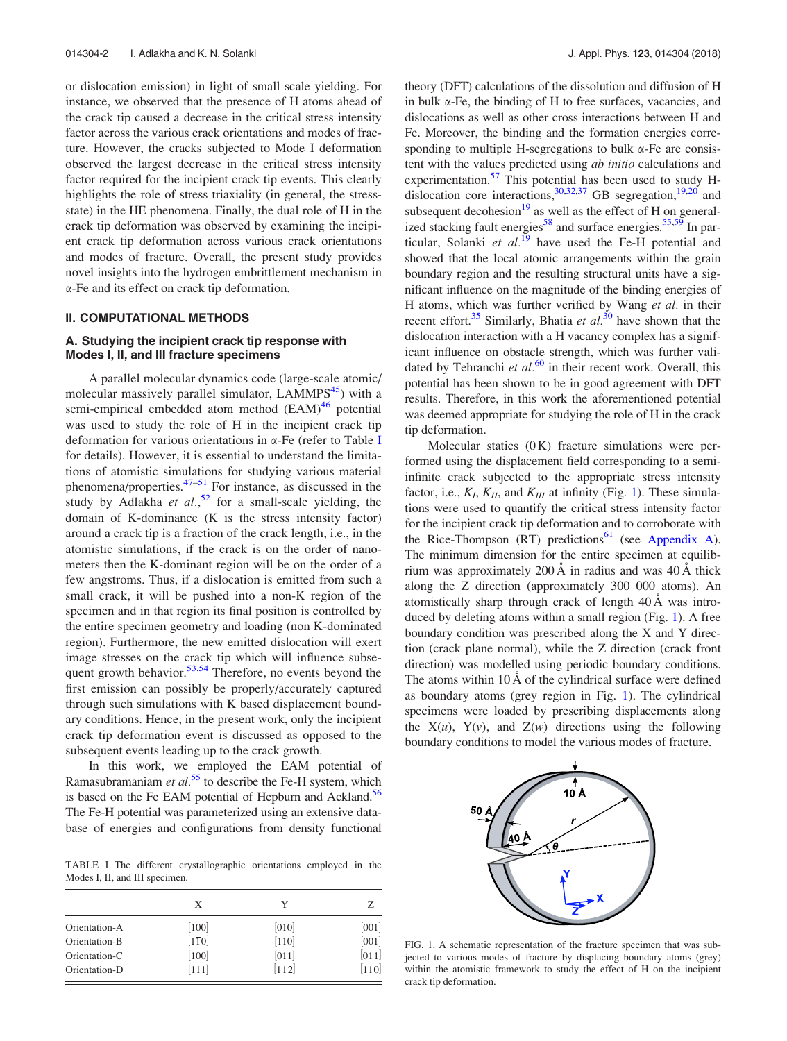or dislocation emission) in light of small scale yielding. For instance, we observed that the presence of H atoms ahead of the crack tip caused a decrease in the critical stress intensity factor across the various crack orientations and modes of fracture. However, the cracks subjected to Mode I deformation observed the largest decrease in the critical stress intensity factor required for the incipient crack tip events. This clearly highlights the role of stress triaxiality (in general, the stressstate) in the HE phenomena. Finally, the dual role of H in the crack tip deformation was observed by examining the incipient crack tip deformation across various crack orientations and modes of fracture. Overall, the present study provides novel insights into the hydrogen embrittlement mechanism in a-Fe and its effect on crack tip deformation.

#### II. COMPUTATIONAL METHODS

## A. Studying the incipient crack tip response with Modes I, II, and III fracture specimens

A parallel molecular dynamics code (large-scale atomic/ molecular massively parallel simulator, LAMMPS<sup>45</sup>) with a semi-empirical embedded atom method (EAM)<sup>46</sup> potential was used to study the role of H in the incipient crack tip deformation for various orientations in  $\alpha$ -Fe (refer to Table I for details). However, it is essential to understand the limitations of atomistic simulations for studying various material phenomena/properties. $47-51$  For instance, as discussed in the study by Adlakha *et al.*<sup>52</sup> for a small-scale yielding, the domain of K-dominance (K is the stress intensity factor) around a crack tip is a fraction of the crack length, i.e., in the atomistic simulations, if the crack is on the order of nanometers then the K-dominant region will be on the order of a few angstroms. Thus, if a dislocation is emitted from such a small crack, it will be pushed into a non-K region of the specimen and in that region its final position is controlled by the entire specimen geometry and loading (non K-dominated region). Furthermore, the new emitted dislocation will exert image stresses on the crack tip which will influence subsequent growth behavior.<sup>53,54</sup> Therefore, no events beyond the first emission can possibly be properly/accurately captured through such simulations with K based displacement boundary conditions. Hence, in the present work, only the incipient crack tip deformation event is discussed as opposed to the subsequent events leading up to the crack growth.

In this work, we employed the EAM potential of Ramasubramaniam *et al.*<sup>55</sup> to describe the Fe-H system, which is based on the Fe EAM potential of Hepburn and Ackland.<sup>56</sup> The Fe-H potential was parameterized using an extensive database of energies and configurations from density functional

TABLE I. The different crystallographic orientations employed in the Modes I, II, and III specimen.

|                                | X                           | Y                | Z                |
|--------------------------------|-----------------------------|------------------|------------------|
| Orientation-A                  | [100]                       | [010]            | [001]            |
| Orientation-B<br>Orientation-C | $[1\overline{1}0]$<br>[100] | $[110]$<br>[011] | [001]<br>[011]   |
| Orientation-D                  | $[111]$                     | $\overline{112}$ | $\overline{110}$ |

theory (DFT) calculations of the dissolution and diffusion of H in bulk a-Fe, the binding of H to free surfaces, vacancies, and dislocations as well as other cross interactions between H and Fe. Moreover, the binding and the formation energies corresponding to multiple H-segregations to bulk  $\alpha$ -Fe are consistent with the values predicted using *ab initio* calculations and experimentation.<sup>57</sup> This potential has been used to study Hdislocation core interactions, $30,32,37$  GB segregation, $19,20$  and subsequent decohesion $19$  as well as the effect of H on generalized stacking fault energies $58$  and surface energies.  $55,59$  In particular, Solanki et al.<sup>19</sup> have used the Fe-H potential and showed that the local atomic arrangements within the grain boundary region and the resulting structural units have a significant influence on the magnitude of the binding energies of H atoms, which was further verified by Wang *et al.* in their recent effort.<sup>35</sup> Similarly, Bhatia *et al.*<sup>30</sup> have shown that the dislocation interaction with a H vacancy complex has a significant influence on obstacle strength, which was further validated by Tehranchi et al.<sup>60</sup> in their recent work. Overall, this potential has been shown to be in good agreement with DFT results. Therefore, in this work the aforementioned potential was deemed appropriate for studying the role of H in the crack tip deformation.

Molecular statics  $(0 K)$  fracture simulations were performed using the displacement field corresponding to a semiinfinite crack subjected to the appropriate stress intensity factor, i.e.,  $K_I$ ,  $K_{II}$ , and  $K_{III}$  at infinity (Fig. 1). These simulations were used to quantify the critical stress intensity factor for the incipient crack tip deformation and to corroborate with the Rice-Thompson  $(RT)$  predictions<sup>61</sup> (see Appendix A). The minimum dimension for the entire specimen at equilibrium was approximately 200 Å in radius and was  $40 \text{ Å}$  thick along the Z direction (approximately 300 000 atoms). An atomistically sharp through crack of length  $40\text{\AA}$  was introduced by deleting atoms within a small region (Fig. 1). A free boundary condition was prescribed along the X and Y direction (crack plane normal), while the Z direction (crack front direction) was modelled using periodic boundary conditions. The atoms within  $10 \text{ Å}$  of the cylindrical surface were defined as boundary atoms (grey region in Fig. 1). The cylindrical specimens were loaded by prescribing displacements along the  $X(u)$ ,  $Y(v)$ , and  $Z(w)$  directions using the following boundary conditions to model the various modes of fracture.



FIG. 1. A schematic representation of the fracture specimen that was subjected to various modes of fracture by displacing boundary atoms (grey) within the atomistic framework to study the effect of H on the incipient crack tip deformation.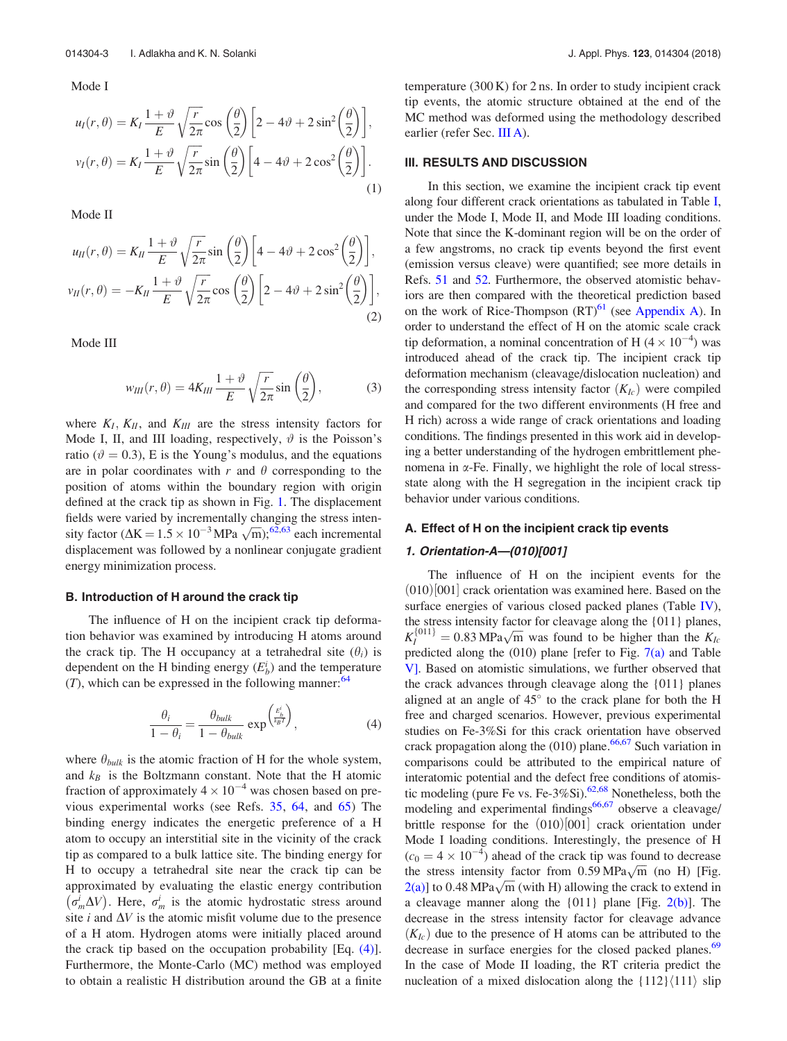Mode I

$$
u_I(r,\theta) = K_I \frac{1+\vartheta}{E} \sqrt{\frac{r}{2\pi}} \cos\left(\frac{\theta}{2}\right) \left[2 - 4\vartheta + 2\sin^2\left(\frac{\theta}{2}\right)\right],
$$
  

$$
v_I(r,\theta) = K_I \frac{1+\vartheta}{E} \sqrt{\frac{r}{2\pi}} \sin\left(\frac{\theta}{2}\right) \left[4 - 4\vartheta + 2\cos^2\left(\frac{\theta}{2}\right)\right].
$$
 (1)

Mode II

$$
u_{II}(r,\theta) = K_{II} \frac{1+\vartheta}{E} \sqrt{\frac{r}{2\pi}} \sin\left(\frac{\theta}{2}\right) \left[4 - 4\vartheta + 2\cos^{2}\left(\frac{\theta}{2}\right)\right],
$$
  

$$
v_{II}(r,\theta) = -K_{II} \frac{1+\vartheta}{E} \sqrt{\frac{r}{2\pi}} \cos\left(\frac{\theta}{2}\right) \left[2 - 4\vartheta + 2\sin^{2}\left(\frac{\theta}{2}\right)\right],
$$
  
(2)

Mode III

$$
w_{III}(r,\theta) = 4K_{III}\frac{1+\vartheta}{E}\sqrt{\frac{r}{2\pi}}\sin\left(\frac{\theta}{2}\right),\tag{3}
$$

where  $K_I$ ,  $K_{II}$ , and  $K_{III}$  are the stress intensity factors for Mode I, II, and III loading, respectively,  $\vartheta$  is the Poisson's ratio ( $\vartheta = 0.3$ ), E is the Young's modulus, and the equations are in polar coordinates with  $r$  and  $\theta$  corresponding to the position of atoms within the boundary region with origin defined at the crack tip as shown in Fig. 1. The displacement fields were varied by incrementally changing the stress intensity factor ( $\Delta K = 1.5 \times 10^{-3} MPa \sqrt{m}$ );<sup>62,63</sup> each incremental displacement was followed by a nonlinear conjugate gradient energy minimization process.

#### B. Introduction of H around the crack tip

The influence of H on the incipient crack tip deformation behavior was examined by introducing H atoms around the crack tip. The H occupancy at a tetrahedral site  $(\theta_i)$  is dependent on the H binding energy  $(E_b^i)$  and the temperature  $(T)$ , which can be expressed in the following manner:<sup>64</sup>

$$
\frac{\theta_i}{1 - \theta_i} = \frac{\theta_{bulk}}{1 - \theta_{bulk}} \exp\left(\frac{E_h^i}{k_B T}\right),\tag{4}
$$

where  $\theta_{bulk}$  is the atomic fraction of H for the whole system, and  $k_B$  is the Boltzmann constant. Note that the H atomic fraction of approximately  $4 \times 10^{-4}$  was chosen based on previous experimental works (see Refs. 35, 64, and 65) The binding energy indicates the energetic preference of a H atom to occupy an interstitial site in the vicinity of the crack tip as compared to a bulk lattice site. The binding energy for H to occupy a tetrahedral site near the crack tip can be approximated by evaluating the elastic energy contribution  $(\sigma_m^i \Delta V)$ . Here,  $\sigma_m^i$  is the atomic hydrostatic stress around site  $i$  and  $\Delta V$  is the atomic misfit volume due to the presence of a H atom. Hydrogen atoms were initially placed around the crack tip based on the occupation probability  $[Eq. (4)].$ Furthermore, the Monte-Carlo (MC) method was employed to obtain a realistic H distribution around the GB at a finite temperature  $(300 \text{ K})$  for 2 ns. In order to study incipient crack tip events, the atomic structure obtained at the end of the MC method was deformed using the methodology described earlier (refer Sec. III A).

#### III. RESULTS AND DISCUSSION

In this section, we examine the incipient crack tip event along four different crack orientations as tabulated in Table I, under the Mode I, Mode II, and Mode III loading conditions. Note that since the K-dominant region will be on the order of a few angstroms, no crack tip events beyond the first event (emission versus cleave) were quantified; see more details in Refs. 51 and 52. Furthermore, the observed atomistic behaviors are then compared with the theoretical prediction based on the work of Rice-Thompson  $(RT)^{61}$  (see Appendix A). In order to understand the effect of H on the atomic scale crack tip deformation, a nominal concentration of H  $(4 \times 10^{-4})$  was introduced ahead of the crack tip. The incipient crack tip deformation mechanism (cleavage/dislocation nucleation) and the corresponding stress intensity factor  $(K_{Ic})$  were compiled and compared for the two different environments (H free and H rich) across a wide range of crack orientations and loading conditions. The findings presented in this work aid in developing a better understanding of the hydrogen embrittlement phenomena in  $\alpha$ -Fe. Finally, we highlight the role of local stressstate along with the H segregation in the incipient crack tip behavior under various conditions.

#### A. Effect of H on the incipient crack tip events

#### 1. Orientation-A—(010)[001]

The influence of H on the incipient events for the  $(010)$  $[001]$  crack orientation was examined here. Based on the surface energies of various closed packed planes (Table IV), the stress intensity factor for cleavage along the {011} planes,  $K_l^{\{011\}} = 0.83 \text{ MPa}\sqrt{\text{m}}$  was found to be higher than the  $K_l$ predicted along the (010) plane [refer to Fig. 7(a) and Table V]. Based on atomistic simulations, we further observed that the crack advances through cleavage along the {011} planes aligned at an angle of  $45^{\circ}$  to the crack plane for both the H free and charged scenarios. However, previous experimental studies on Fe-3%Si for this crack orientation have observed crack propagation along the  $(010)$  plane.<sup>66,67</sup> Such variation in comparisons could be attributed to the empirical nature of interatomic potential and the defect free conditions of atomistic modeling (pure Fe vs. Fe- $3\%$ Si).<sup>62,68</sup> Nonetheless, both the modeling and experimental findings<sup>66,67</sup> observe a cleavage/ brittle response for the  $(010)$  $[001]$  crack orientation under Mode I loading conditions. Interestingly, the presence of H  $(c_0 = 4 \times 10^{-4})$  ahead of the crack tip was found to decrease the stress intensity factor from  $0.59 \text{ MPa} \sqrt{\text{m}}$  (no H) [Fig.  $2(a)$ ] to 0.48 MPa $\sqrt{m}$  (with H) allowing the crack to extend in a cleavage manner along the  $\{011\}$  plane [Fig. 2(b)]. The decrease in the stress intensity factor for cleavage advance  $(K<sub>Ic</sub>)$  due to the presence of H atoms can be attributed to the decrease in surface energies for the closed packed planes.<sup>69</sup> In the case of Mode II loading, the RT criteria predict the nucleation of a mixed dislocation along the  $\{112\}\langle111\rangle$  slip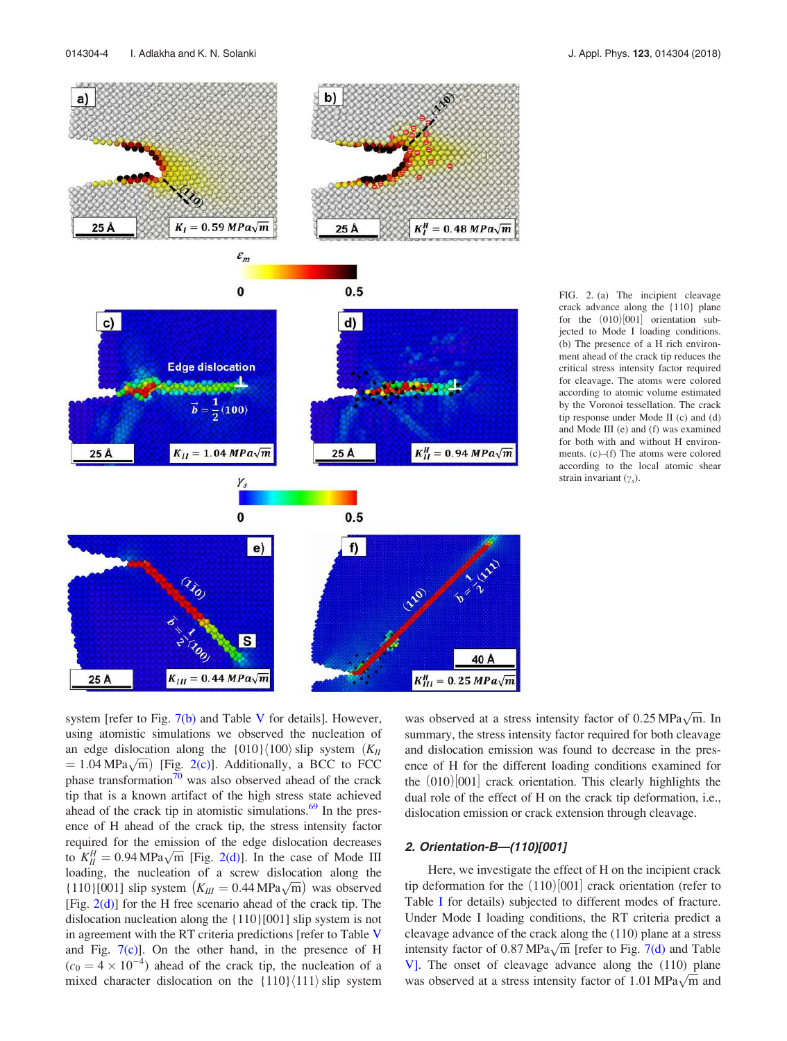system [refer to Fig.  $7(b)$  and Table V for details]. However, using atomistic simulations we observed the nucleation of an edge dislocation along the  $\{010\}\langle100\rangle$  slip system  $(K<sub>II</sub>)$  $= 1.04 \text{ MPa}\sqrt{\text{m}}$  [Fig. 2(c)]. Additionally, a BCC to FCC phase transformation<sup>70</sup> was also observed ahead of the crack tip that is a known artifact of the high stress state achieved ahead of the crack tip in atomistic simulations. $69$  In the presence of H ahead of the crack tip, the stress intensity factor required for the emission of the edge dislocation decreases to  $K_H^H = 0.94 \text{ MPa}\sqrt{\text{m}}$  [Fig. 2(d)]. In the case of Mode III loading, the nucleation of a screw dislocation along the {110}[001] slip system  $(K_{III} = 0.44 \text{ MPa}\sqrt{\text{m}})$  was observed [Fig.  $2(d)$ ] for the H free scenario ahead of the crack tip. The dislocation nucleation along the {110}[001] slip system is not in agreement with the RT criteria predictions [refer to Table V and Fig.  $7(c)$ ]. On the other hand, in the presence of H  $(c_0 = 4 \times 10^{-4})$  ahead of the crack tip, the nucleation of a mixed character dislocation on the  ${110}{111}$  slip system

 $\overline{s}$ 

 $K_{III} = 0.44 MPa\sqrt{m}$ 

25 Å

was observed at a stress intensity factor of  $0.25 \text{ MPa} \sqrt{\text{m}}$ . In summary, the stress intensity factor required for both cleavage and dislocation emission was found to decrease in the presence of H for the different loading conditions examined for the  $(010)$  $[001]$  crack orientation. This clearly highlights the dual role of the effect of H on the crack tip deformation, i.e., dislocation emission or crack extension through cleavage.

### 2. Orientation-B—(110)[001]

40 Å

 $K_{III}^H = 0.25 MPa\sqrt{m}$ 

Here, we investigate the effect of H on the incipient crack tip deformation for the  $(110)$  $[001]$  crack orientation (refer to Table I for details) subjected to different modes of fracture. Under Mode I loading conditions, the RT criteria predict a cleavage advance of the crack along the (110) plane at a stress intensity factor of 0.87 MPa $\sqrt{m}$  [refer to Fig. 7(d) and Table V]. The onset of cleavage advance along the (110) plane was observed at a stress intensity factor of 1.01 MPa $\sqrt{\overline{m}}$  and

FIG. 2. (a) The incipient cleavage crack advance along the {110} plane for the  $(010)$   $[001]$  orientation subjected to Mode I loading conditions. (b) The presence of a H rich environment ahead of the crack tip reduces the critical stress intensity factor required for cleavage. The atoms were colored according to atomic volume estimated by the Voronoi tessellation. The crack tip response under Mode II (c) and (d) and Mode III (e) and (f) was examined for both with and without H environments. (c)–(f) The atoms were colored according to the local atomic shear strain invariant  $(\gamma_s)$ .



b)

a)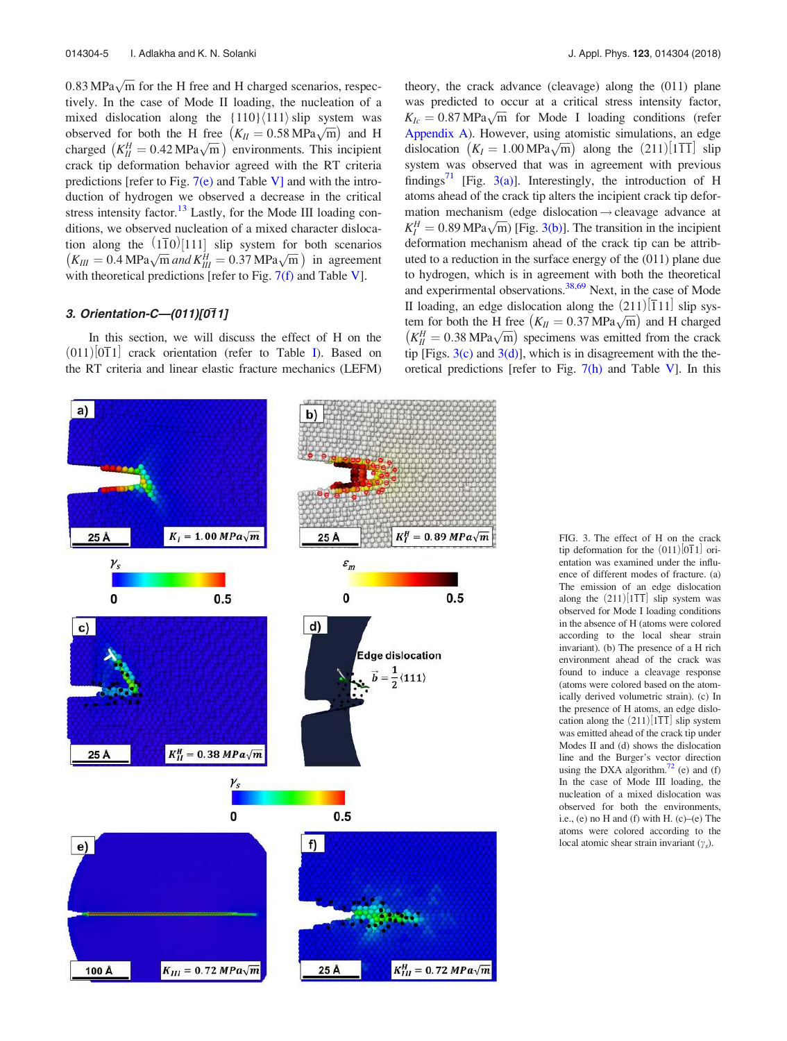$0.83 \text{ MPa} \sqrt{\text{m}}$  for the H free and H charged scenarios, respectively. In the case of Mode II loading, the nucleation of a mixed dislocation along the  ${110}{111}$  slip system was observed for both the H free  $(K_H = 0.58 \text{ MPa} \sqrt{\text{m}})$  and H charged  $(K_H^H = 0.42 \text{ MPa}\sqrt{\text{m}})$  environments. This incipient crack tip deformation behavior agreed with the RT criteria predictions [refer to Fig.  $7(e)$  and Table V] and with the introduction of hydrogen we observed a decrease in the critical stress intensity factor.<sup>13</sup> Lastly, for the Mode III loading conditions, we observed nucleation of a mixed character dislocation along the  $(110)[111]$  slip system for both scenarios  $(K_{III} = 0.4 \text{ MPa} \sqrt{\text{m}}$  and  $K_{III}^H = 0.37 \text{ MPa} \sqrt{\text{m}}$  in agreement with theoretical predictions [refer to Fig.  $7(f)$  and Table V].

## 3. Orientation-C—(011)[011]

 $a)$ 

In this section, we will discuss the effect of H on the  $(011)$   $[011]$  crack orientation (refer to Table I). Based on the RT criteria and linear elastic fracture mechanics (LEFM)





FIG. 3. The effect of H on the crack tip deformation for the  $(011)$  $[011]$  orientation was examined under the influence of different modes of fracture. (a) The emission of an edge dislocation along the  $(211)$ [111] slip system was observed for Mode I loading conditions in the absence of H (atoms were colored according to the local shear strain invariant). (b) The presence of a H rich environment ahead of the crack was found to induce a cleavage response (atoms were colored based on the atomically derived volumetric strain). (c) In the presence of H atoms, an edge dislocation along the  $(211)$ [1 $\overline{11}$ ] slip system was emitted ahead of the crack tip under Modes II and (d) shows the dislocation line and the Burger's vector direction using the DXA algorithm. $^{72}$  (e) and (f) In the case of Mode III loading, the nucleation of a mixed dislocation was observed for both the environments, i.e., (e) no H and (f) with H. (c)–(e) The atoms were colored according to the local atomic shear strain invariant  $(\gamma_s)$ .

theory, the crack advance (cleavage) along the (011) plane was predicted to occur at a critical stress intensity factor,  $K_{Ic} = 0.87 \text{ MPa} \sqrt{\text{m}}$  for Mode I loading conditions (refer Appendix A). However, using atomistic simulations, an edge dislocation  $(K_I = 1.00 \text{ MPa}\sqrt{\text{m}})$  along the  $(211)[111]$  slip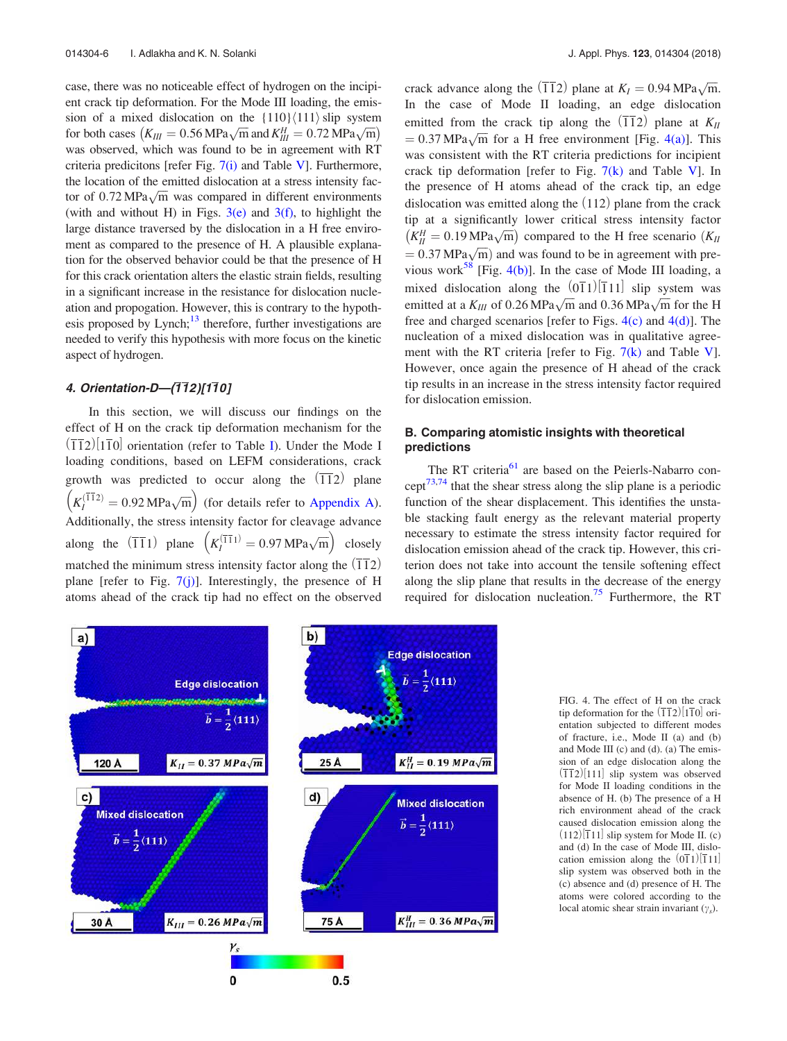case, there was no noticeable effect of hydrogen on the incipient crack tip deformation. For the Mode III loading, the emission of a mixed dislocation on the  $\{110\}\langle111\rangle$  slip system for both cases  $(K_{III} = 0.56 \text{ MPa} \sqrt{\text{m}} \text{ and } K_{III}^H = 0.72 \text{ MPa} \sqrt{\text{m}})$ was observed, which was found to be in agreement with RT criteria predicitons [refer Fig.  $7(i)$  and Table V]. Furthermore, the location of the emitted dislocation at a stress intensity factor of  $0.72 \text{ MPa} \sqrt{\text{m}}$  was compared in different environments (with and without H) in Figs.  $3(e)$  and  $3(f)$ , to highlight the large distance traversed by the dislocation in a H free enviroment as compared to the presence of H. A plausible explanation for the observed behavior could be that the presence of H for this crack orientation alters the elastic strain fields, resulting in a significant increase in the resistance for dislocation nucleation and propogation. However, this is contrary to the hypothesis proposed by Lynch; $^{13}$  therefore, further investigations are needed to verify this hypothesis with more focus on the kinetic aspect of hydrogen.

## 4. Orientation-D-(112)[110]

In this section, we will discuss our findings on the effect of H on the crack tip deformation mechanism for the  $(\overline{112})$ | $1\overline{10}$ | orientation (refer to Table I). Under the Mode I loading conditions, based on LEFM considerations, crack growth was predicted to occur along the  $(\overline{11}2)$  plane  $\left(K_I^{(\overline{11}2)} = 0.92 \text{ MPa}\sqrt{\text{m}}\right)$  (for details refer to Appendix A). Additionally, the stress intensity factor for cleavage advance along the  $(\overline{11}1)$  plane  $\left(K_l^{(\overline{11}1)} = 0.97 \text{ MPa}\sqrt{\text{m}}\right)$  closely matched the minimum stress intensity factor along the  $(\overline{11}2)$ plane [refer to Fig.  $7(j)$ ]. Interestingly, the presence of H atoms ahead of the crack tip had no effect on the observed

crack advance along the  $(\overline{11}2)$  plane at  $K_I = 0.94 \text{ MPa}\sqrt{\text{m}}$ . In the case of Mode II loading, an edge dislocation emitted from the crack tip along the  $\left(\overline{11}2\right)$  plane at  $K_{II}$  $= 0.37 \text{ MPa}\sqrt{\text{m}}$  for a H free environment [Fig. 4(a)]. This was consistent with the RT criteria predictions for incipient crack tip deformation [refer to Fig.  $7(k)$  and Table V]. In the presence of H atoms ahead of the crack tip, an edge dislocation was emitted along the  $(112)$  plane from the crack tip at a significantly lower critical stress intensity factor  $(K_H^H = 0.19 \text{ MPa}\sqrt{\text{m}})$  compared to the H free scenario  $(K_H$  $\frac{1}{2}$  0.37 MPa $\sqrt{m}$ ) and was found to be in agreement with previous work<sup>58</sup> [Fig. 4(b)]. In the case of Mode III loading, a mixed dislocation along the  $(011)$ [111] slip system was emitted at a  $K_{III}$  of 0.26 MPa $\sqrt{m}$  and 0.36 MPa $\sqrt{m}$  for the H free and charged scenarios [refer to Figs.  $4(c)$  and  $4(d)$ ]. The nucleation of a mixed dislocation was in qualitative agreement with the RT criteria [refer to Fig.  $7(k)$  and Table V]. However, once again the presence of H ahead of the crack tip results in an increase in the stress intensity factor required for dislocation emission.

## B. Comparing atomistic insights with theoretical predictions

The RT criteria<sup>61</sup> are based on the Peierls-Nabarro concept73,74 that the shear stress along the slip plane is a periodic function of the shear displacement. This identifies the unstable stacking fault energy as the relevant material property necessary to estimate the stress intensity factor required for dislocation emission ahead of the crack tip. However, this criterion does not take into account the tensile softening effect along the slip plane that results in the decrease of the energy required for dislocation nucleation.<sup>75</sup> Furthermore, the RT



FIG. 4. The effect of H on the crack tip deformation for the  $\left(\overline{11}2\right)\left|1\overline{1}0\right|$  orientation subjected to different modes of fracture, i.e., Mode II (a) and (b) and Mode III (c) and (d). (a) The emission of an edge dislocation along the  $(112)$ [111] slip system was observed for Mode II loading conditions in the absence of H. (b) The presence of a H rich environment ahead of the crack caused dislocation emission along the  $(112)$ [11] slip system for Mode II. (c) and (d) In the case of Mode III, dislocation emission along the  $(0\overline{1}1)|\overline{1}11|$ slip system was observed both in the (c) absence and (d) presence of H. The atoms were colored according to the local atomic shear strain invariant  $(\gamma_s)$ .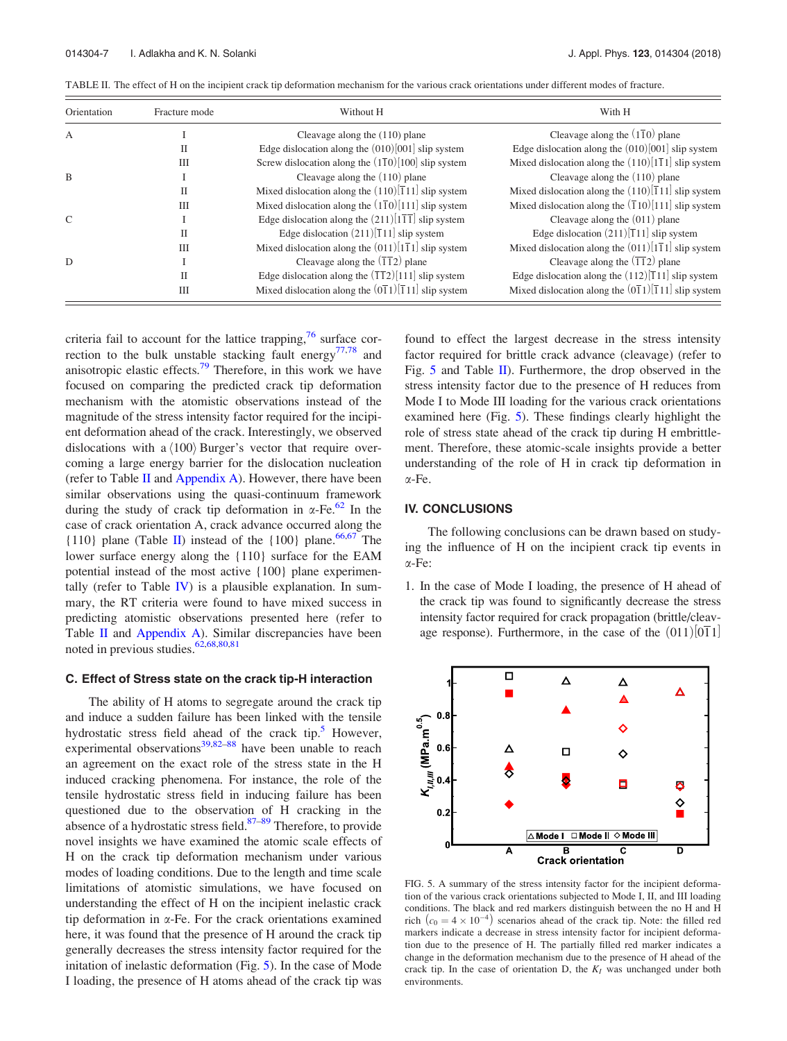| Orientation   | Fracture mode | Without H                                                                  | With H                                                                     |
|---------------|---------------|----------------------------------------------------------------------------|----------------------------------------------------------------------------|
| А             |               | Cleavage along the $(110)$ plane                                           | Cleavage along the $(1\overline{1}0)$ plane                                |
|               | П             | Edge dislocation along the $(010)[001]$ slip system                        | Edge dislocation along the $(010)[001]$ slip system                        |
|               | IΠ            | Screw dislocation along the $(1\overline{1}0)[100]$ slip system            | Mixed dislocation along the $(110)[1\overline{1}1]$ slip system            |
| <sub>B</sub>  |               | Cleavage along the $(110)$ plane                                           | Cleavage along the $(110)$ plane                                           |
|               | П             | Mixed dislocation along the $(110)[\overline{1}11]$ slip system            | Mixed dislocation along the $(110)[\overline{1}11]$ slip system            |
|               | IΠ            | Mixed dislocation along the $(1\overline{1}0)[111]$ slip system            | Mixed dislocation along the $(\overline{1}10)[111]$ slip system            |
| $\mathcal{C}$ |               | Edge dislocation along the $(211)[1\overline{11}]$ slip system             | Cleavage along the $(011)$ plane                                           |
|               | П             | Edge dislocation $(211)[\overline{1}11]$ slip system                       | Edge dislocation $(211)[\overline{1}11]$ slip system                       |
|               | IΙI           | Mixed dislocation along the $(011)[1\overline{1}1]$ slip system            | Mixed dislocation along the $(011)[1\overline{1}1]$ slip system            |
| D             |               | Cleavage along the $(\overline{11}2)$ plane                                | Cleavage along the $(\overline{11}2)$ plane                                |
|               | П             | Edge dislocation along the $(\overline{11}2)[111]$ slip system             | Edge dislocation along the $(112)[\overline{1}11]$ slip system             |
|               | IΠ            | Mixed dislocation along the $(0\overline{1}1)[\overline{1}11]$ slip system | Mixed dislocation along the $(0\overline{1}1)[\overline{1}11]$ slip system |

TABLE II. The effect of H on the incipient crack tip deformation mechanism for the various crack orientations under different modes of fracture.

criteria fail to account for the lattice trapping, $76$  surface correction to the bulk unstable stacking fault energy<sup>77,78</sup> and anisotropic elastic effects.<sup>79</sup> Therefore, in this work we have focused on comparing the predicted crack tip deformation mechanism with the atomistic observations instead of the magnitude of the stress intensity factor required for the incipient deformation ahead of the crack. Interestingly, we observed dislocations with a  $\langle 100 \rangle$  Burger's vector that require overcoming a large energy barrier for the dislocation nucleation (refer to Table  $II$  and Appendix A). However, there have been similar observations using the quasi-continuum framework during the study of crack tip deformation in  $\alpha$ -Fe.<sup>62</sup> In the case of crack orientation A, crack advance occurred along the {110} plane (Table II) instead of the  $\{100\}$  plane.<sup>66,67</sup> The lower surface energy along the {110} surface for the EAM potential instead of the most active {100} plane experimentally (refer to Table IV) is a plausible explanation. In summary, the RT criteria were found to have mixed success in predicting atomistic observations presented here (refer to Table II and Appendix A). Similar discrepancies have been noted in previous studies. $62,68,80,81$ 

#### C. Effect of Stress state on the crack tip-H interaction

The ability of H atoms to segregate around the crack tip and induce a sudden failure has been linked with the tensile hydrostatic stress field ahead of the crack tip.<sup>5</sup> However, experimental observations<sup>39,82–88</sup> have been unable to reach an agreement on the exact role of the stress state in the H induced cracking phenomena. For instance, the role of the tensile hydrostatic stress field in inducing failure has been questioned due to the observation of H cracking in the absence of a hydrostatic stress field. $87-89$  Therefore, to provide novel insights we have examined the atomic scale effects of H on the crack tip deformation mechanism under various modes of loading conditions. Due to the length and time scale limitations of atomistic simulations, we have focused on understanding the effect of H on the incipient inelastic crack tip deformation in  $\alpha$ -Fe. For the crack orientations examined here, it was found that the presence of H around the crack tip generally decreases the stress intensity factor required for the initation of inelastic deformation (Fig. 5). In the case of Mode I loading, the presence of H atoms ahead of the crack tip was found to effect the largest decrease in the stress intensity factor required for brittle crack advance (cleavage) (refer to Fig.  $5$  and Table II). Furthermore, the drop observed in the stress intensity factor due to the presence of H reduces from Mode I to Mode III loading for the various crack orientations examined here (Fig. 5). These findings clearly highlight the role of stress state ahead of the crack tip during H embrittlement. Therefore, these atomic-scale insights provide a better understanding of the role of H in crack tip deformation in a-Fe.

#### IV. CONCLUSIONS

The following conclusions can be drawn based on studying the influence of H on the incipient crack tip events in  $\alpha$ -Fe:

1. In the case of Mode I loading, the presence of H ahead of the crack tip was found to significantly decrease the stress intensity factor required for crack propagation (brittle/cleavage response). Furthermore, in the case of the  $(011)$  $[0\overline{1}1]$ 



FIG. 5. A summary of the stress intensity factor for the incipient deformation of the various crack orientations subjected to Mode I, II, and III loading conditions. The black and red markers distinguish between the no H and H rich  $(c_0 = 4 \times 10^{-4})$  scenarios ahead of the crack tip. Note: the filled red markers indicate a decrease in stress intensity factor for incipient deformation due to the presence of H. The partially filled red marker indicates a change in the deformation mechanism due to the presence of H ahead of the crack tip. In the case of orientation D, the  $K_I$  was unchanged under both environments.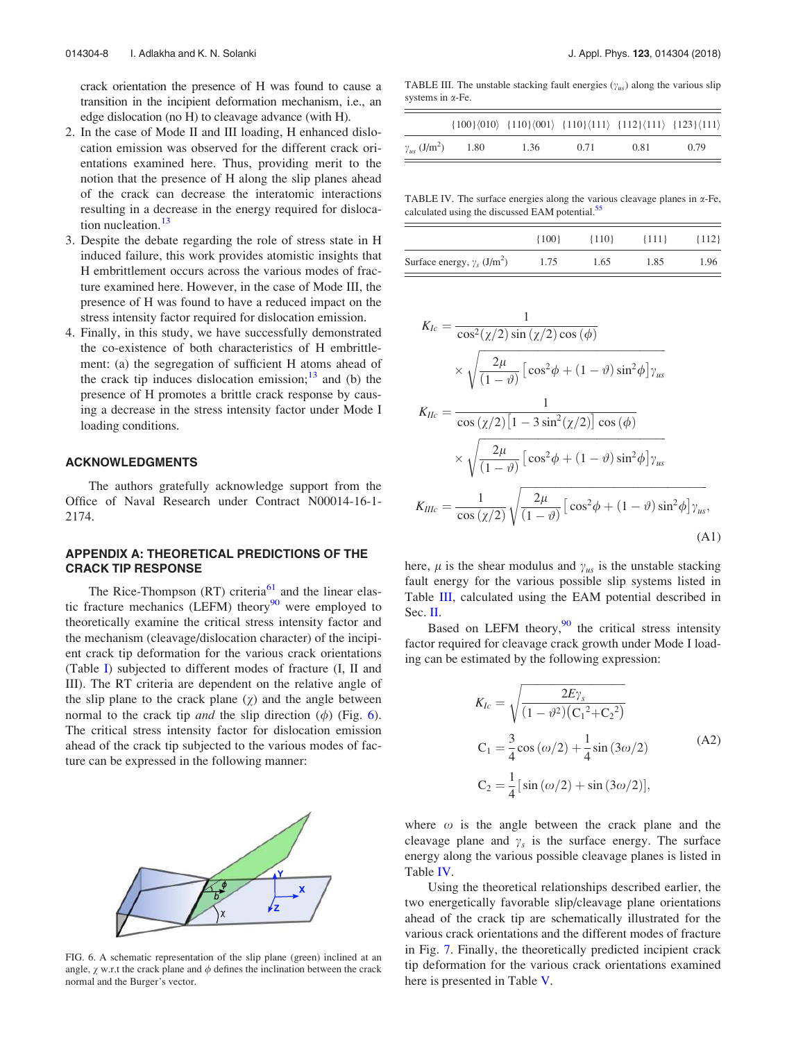crack orientation the presence of H was found to cause a transition in the incipient deformation mechanism, i.e., an edge dislocation (no H) to cleavage advance (with H).

- 2. In the case of Mode II and III loading, H enhanced dislocation emission was observed for the different crack orientations examined here. Thus, providing merit to the notion that the presence of H along the slip planes ahead of the crack can decrease the interatomic interactions resulting in a decrease in the energy required for dislocation nucleation.<sup>13</sup>
- 3. Despite the debate regarding the role of stress state in H induced failure, this work provides atomistic insights that H embrittlement occurs across the various modes of fracture examined here. However, in the case of Mode III, the presence of H was found to have a reduced impact on the stress intensity factor required for dislocation emission.
- 4. Finally, in this study, we have successfully demonstrated the co-existence of both characteristics of H embrittlement: (a) the segregation of sufficient H atoms ahead of the crack tip induces dislocation emission; $13$  and (b) the presence of H promotes a brittle crack response by causing a decrease in the stress intensity factor under Mode I loading conditions.

## ACKNOWLEDGMENTS

The authors gratefully acknowledge support from the Office of Naval Research under Contract N00014-16-1- 2174.

## APPENDIX A: THEORETICAL PREDICTIONS OF THE CRACK TIP RESPONSE

The Rice-Thompson  $(RT)$  criteria<sup>61</sup> and the linear elastic fracture mechanics (LEFM) theory<sup>90</sup> were employed to theoretically examine the critical stress intensity factor and the mechanism (cleavage/dislocation character) of the incipient crack tip deformation for the various crack orientations (Table I) subjected to different modes of fracture (I, II and III). The RT criteria are dependent on the relative angle of the slip plane to the crack plane  $(y)$  and the angle between normal to the crack tip *and* the slip direction  $(\phi)$  (Fig. 6). The critical stress intensity factor for dislocation emission ahead of the crack tip subjected to the various modes of facture can be expressed in the following manner:



FIG. 6. A schematic representation of the slip plane (green) inclined at an angle,  $\chi$  w.r.t the crack plane and  $\phi$  defines the inclination between the crack normal and the Burger's vector.

TABLE III. The unstable stacking fault energies  $(\gamma_{us})$  along the various slip systems in  $\alpha$ -Fe.

|                                   |      | $\{100\}\langle 010 \rangle \{110\}\langle 001 \rangle \{110\}\langle 111 \rangle \{112\}\langle 111 \rangle \{123\}\langle 111 \rangle$ |      |      |      |
|-----------------------------------|------|------------------------------------------------------------------------------------------------------------------------------------------|------|------|------|
| $\gamma_{us}$ (J/m <sup>2</sup> ) | 1.80 | 1.36                                                                                                                                     | 0.71 | 0.81 | 0.79 |

TABLE IV. The surface energies along the various cleavage planes in  $\alpha$ -Fe, calculated using the discussed EAM potential.<sup>55</sup>

|                                                | ${100}$ | ${110}$ | ${111}$ | ${112}$ |
|------------------------------------------------|---------|---------|---------|---------|
| Surface energy, $\gamma_s$ (J/m <sup>2</sup> ) | 1.75    | 1.65    | 1.85    | 1.96    |

$$
K_{Ic} = \frac{1}{\cos^2(\chi/2)\sin(\chi/2)\cos(\phi)}
$$
  
\n
$$
\times \sqrt{\frac{2\mu}{(1-\vartheta)}\left[\cos^2\phi + (1-\vartheta)\sin^2\phi\right]\gamma_{us}}
$$
  
\n
$$
K_{Ilc} = \frac{1}{\cos(\chi/2)\left[1 - 3\sin^2(\chi/2)\right]\cos(\phi)}
$$
  
\n
$$
\times \sqrt{\frac{2\mu}{(1-\vartheta)}\left[\cos^2\phi + (1-\vartheta)\sin^2\phi\right]\gamma_{us}}
$$
  
\n
$$
K_{IIlc} = \frac{1}{\cos(\chi/2)}\sqrt{\frac{2\mu}{(1-\vartheta)}\left[\cos^2\phi + (1-\vartheta)\sin^2\phi\right]\gamma_{us}},
$$
\n(A1)

here,  $\mu$  is the shear modulus and  $\gamma_{\mu s}$  is the unstable stacking fault energy for the various possible slip systems listed in Table III, calculated using the EAM potential described in Sec. II.

Based on LEFM theory, $90$  the critical stress intensity factor required for cleavage crack growth under Mode I loading can be estimated by the following expression:

$$
K_{Ic} = \sqrt{\frac{2E\gamma_s}{(1 - \vartheta^2)(C_1^2 + C_2^2)}}
$$
  
\n
$$
C_1 = \frac{3}{4}\cos(\omega/2) + \frac{1}{4}\sin(3\omega/2)
$$
  
\n
$$
C_2 = \frac{1}{4}[\sin(\omega/2) + \sin(3\omega/2)],
$$
\n(A2)

where  $\omega$  is the angle between the crack plane and the cleavage plane and  $\gamma_s$  is the surface energy. The surface energy along the various possible cleavage planes is listed in Table IV.

Using the theoretical relationships described earlier, the two energetically favorable slip/cleavage plane orientations ahead of the crack tip are schematically illustrated for the various crack orientations and the different modes of fracture in Fig. 7. Finally, the theoretically predicted incipient crack tip deformation for the various crack orientations examined here is presented in Table V.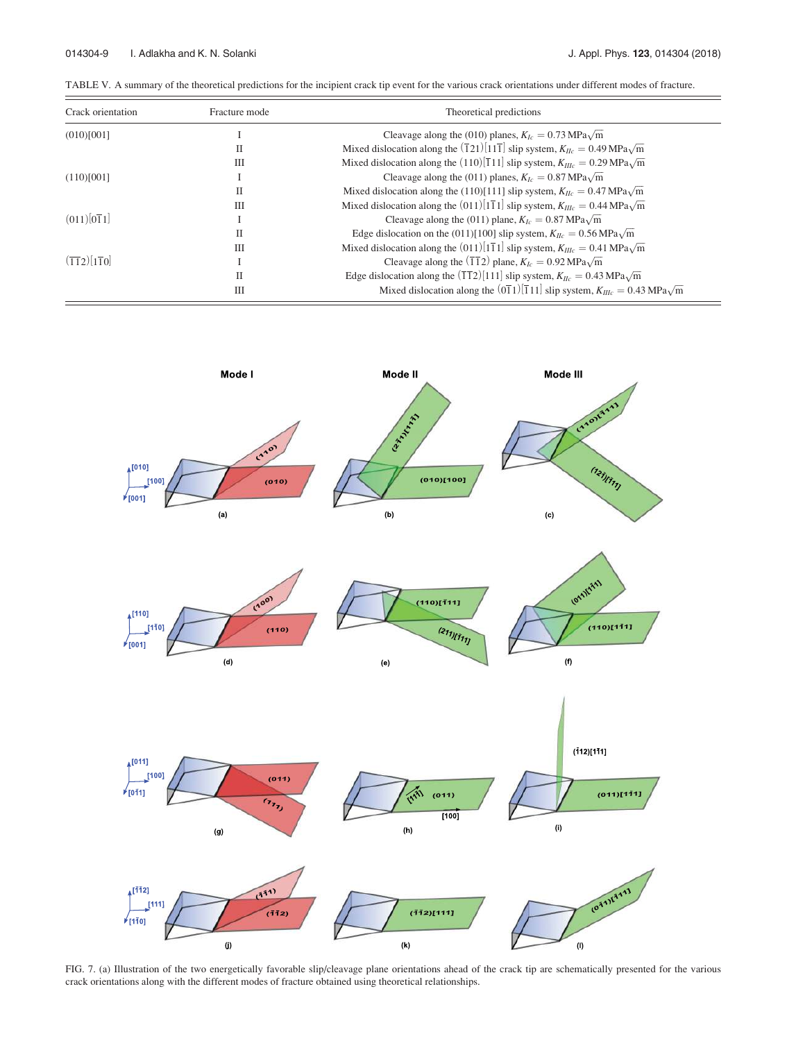| TABLE V. A summary of the theoretical predictions for the incipient crack tip event for the various crack orientations under different modes of fracture. |  |  |
|-----------------------------------------------------------------------------------------------------------------------------------------------------------|--|--|
|                                                                                                                                                           |  |  |

| Crack orientation                  | Fracture mode | Theoretical predictions                                                                                                  |
|------------------------------------|---------------|--------------------------------------------------------------------------------------------------------------------------|
| (010)[001]                         |               | Cleavage along the (010) planes, $K_{Ic} = 0.73 \text{ MPa}\sqrt{\text{m}}$                                              |
|                                    |               | Mixed dislocation along the $(\overline{1}21)[11\overline{1}]$ slip system, $K_{IIc} = 0.49 \text{ MPa}\sqrt{\text{m}}$  |
|                                    | Ш             | Mixed dislocation along the (110)[111] slip system, $K_{Hlc} = 0.29 \text{ MPa}\sqrt{\text{m}}$                          |
| (110)[001]                         |               | Cleavage along the (011) planes, $K_k = 0.87 \text{ MPa}\sqrt{\text{m}}$                                                 |
|                                    | Π             | Mixed dislocation along the (110)[111] slip system, $K_{I/c} = 0.47 \text{ MPa}\sqrt{\text{m}}$                          |
|                                    | Ш             | Mixed dislocation along the (011)[171] slip system, $K_{Hlc} = 0.44 \text{ MPa}\sqrt{\text{m}}$                          |
| $(011)[0\overline{1}1]$            |               | Cleavage along the (011) plane, $K_{Ic} = 0.87 \text{ MPa}\sqrt{\text{m}}$                                               |
|                                    |               | Edge dislocation on the (011)[100] slip system, $K_{I/c} = 0.56 \text{ MPa}\sqrt{\text{m}}$                              |
|                                    | Ш             | Mixed dislocation along the (011)[171] slip system, $K_{Hlc} = 0.41 \text{ MPa}\sqrt{\text{m}}$                          |
| $(\overline{112})[\overline{110}]$ |               | Cleavage along the $(\overline{11}2)$ plane, $K_{Ic} = 0.92 \text{ MPa}\sqrt{\text{m}}$                                  |
|                                    | ш             | Edge dislocation along the $(\overline{11}2)[111]$ slip system, $K_{Ilc} = 0.43 \text{ MPa}\sqrt{\text{m}}$              |
|                                    | Ш             | Mixed dislocation along the $(0\overline{1}1)[\overline{1}11]$ slip system, $K_{IIIc} = 0.43 \text{ MPa}\sqrt{\text{m}}$ |



FIG. 7. (a) Illustration of the two energetically favorable slip/cleavage plane orientations ahead of the crack tip are schematically presented for the various crack orientations along with the different modes of fracture obtained using theoretical relationships.